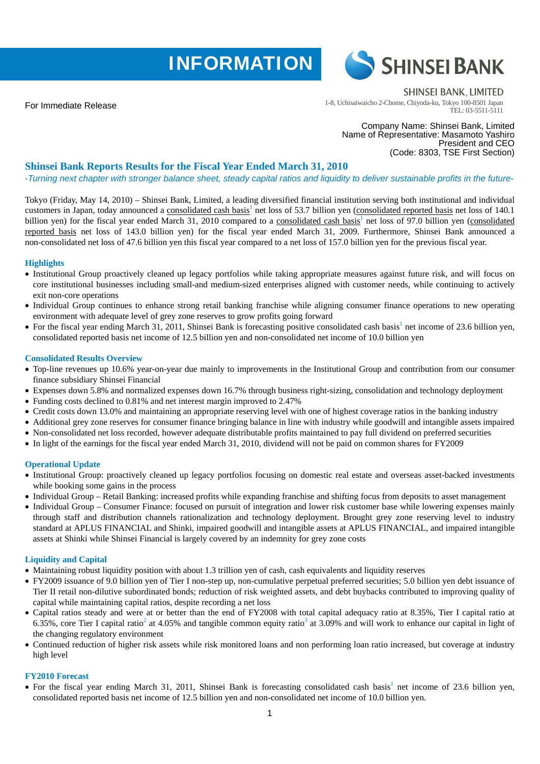# **INFORMATION**



For Immediate Release

**SHINSEI BANK, LIMITED** 

1-8, Uchisaiwaicho 2-Chome, Chiyoda-ku, Tokyo 100-8501 Japan TEL: 03-5511-5111

> Company Name: Shinsei Bank, Limited Name of Representative: Masamoto Yashiro President and CEO (Code: 8303, TSE First Section)

## **Shinsei Bank Reports Results for the Fiscal Year Ended March 31, 2010**

*-Turning next chapter with stronger balance sheet, steady capital ratios and liquidity to deliver sustainable profits in the future-*

Tokyo (Friday, May 14, 2010) – Shinsei Bank, Limited, a leading diversified financial institution serving both institutional and individual customers in Japan, today announced a consolidated cash basis<sup>1</sup> net loss of 53.7 billion yen (consolidated reported basis net loss of 140.1 billion yen) for the fiscal year ended March 31, 2010 compared to a consolidated cash basis<sup>1</sup> net loss of 97.0 billion yen (consolidated reported basis net loss of 143.0 billion yen) for the fiscal year ended March 31, 2009. Furthermore, Shinsei Bank announced a non-consolidated net loss of 47.6 billion yen this fiscal year compared to a net loss of 157.0 billion yen for the previous fiscal year.

### **Highlights**

- Institutional Group proactively cleaned up legacy portfolios while taking appropriate measures against future risk, and will focus on core institutional businesses including small-and medium-sized enterprises aligned with customer needs, while continuing to actively exit non-core operations
- Individual Group continues to enhance strong retail banking franchise while aligning consumer finance operations to new operating environment with adequate level of grey zone reserves to grow profits going forward
- For the fiscal year ending March 31, 2011, Shinsei Bank is forecasting positive consolidated cash basis<sup>1</sup> net income of 23.6 billion yen, consolidated reported basis net income of 12.5 billion yen and non-consolidated net income of 10.0 billion yen

#### **Consolidated Results Overview**

- Top-line revenues up 10.6% year-on-year due mainly to improvements in the Institutional Group and contribution from our consumer finance subsidiary Shinsei Financial
- Expenses down 5.8% and normalized expenses down 16.7% through business right-sizing, consolidation and technology deployment
- Funding costs declined to 0.81% and net interest margin improved to 2.47%
- Credit costs down 13.0% and maintaining an appropriate reserving level with one of highest coverage ratios in the banking industry
- Additional grey zone reserves for consumer finance bringing balance in line with industry while goodwill and intangible assets impaired
- Non-consolidated net loss recorded, however adequate distributable profits maintained to pay full dividend on preferred securities
- In light of the earnings for the fiscal year ended March 31, 2010, dividend will not be paid on common shares for FY2009

#### **Operational Update**

- Institutional Group: proactively cleaned up legacy portfolios focusing on domestic real estate and overseas asset-backed investments while booking some gains in the process
- Individual Group Retail Banking: increased profits while expanding franchise and shifting focus from deposits to asset management
- Individual Group Consumer Finance: focused on pursuit of integration and lower risk customer base while lowering expenses mainly through staff and distribution channels rationalization and technology deployment. Brought grey zone reserving level to industry standard at APLUS FINANCIAL and Shinki, impaired goodwill and intangible assets at APLUS FINANCIAL, and impaired intangible assets at Shinki while Shinsei Financial is largely covered by an indemnity for grey zone costs

#### **Liquidity and Capital**

- Maintaining robust liquidity position with about 1.3 trillion yen of cash, cash equivalents and liquidity reserves
- FY2009 issuance of 9.0 billion yen of Tier I non-step up, non-cumulative perpetual preferred securities; 5.0 billion yen debt issuance of Tier II retail non-dilutive subordinated bonds; reduction of risk weighted assets, and debt buybacks contributed to improving quality of capital while maintaining capital ratios, despite recording a net loss
- Capital ratios steady and were at or better than the end of FY2008 with total capital adequacy ratio at 8.35%, Tier I capital ratio at 6.35%, core Tier I capital ratio<sup>2</sup> at 4.05% and tangible common equity ratio<sup>3</sup> at 3.09% and will work to enhance our capital in light of the changing regulatory environment
- Continued reduction of higher risk assets while risk monitored loans and non performing loan ratio increased, but coverage at industry high level

#### **FY2010 Forecast**

• For the fiscal year ending March 31, 2011, Shinsei Bank is forecasting consolidated cash basis<sup>1</sup> net income of 23.6 billion yen, consolidated reported basis net income of 12.5 billion yen and non-consolidated net income of 10.0 billion yen.